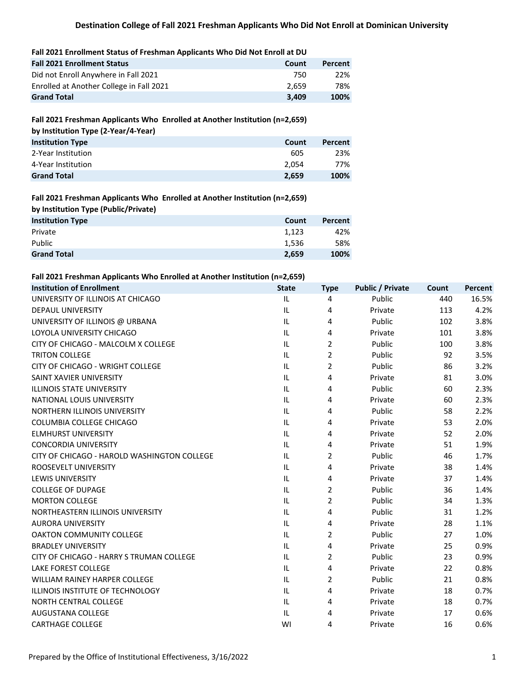| <b>Fall 2021 Enrollment Status</b>       | Count | Percent |
|------------------------------------------|-------|---------|
| Did not Enroll Anywhere in Fall 2021     | 750   | 22%     |
| Enrolled at Another College in Fall 2021 | 2.659 | 78%     |
| <b>Grand Total</b>                       | 3.409 | 100%    |

#### **Fall 2021 Freshman Applicants Who Enrolled at Another Institution (n=2,659)**

| by Institution Type (2-Year/4-Year) |       |         |
|-------------------------------------|-------|---------|
| <b>Institution Type</b>             | Count | Percent |
| 2-Year Institution                  | 605   | 23%     |
| 4-Year Institution                  | 2.054 | 77%     |
| <b>Grand Total</b>                  | 2.659 | 100%    |

#### **Fall 2021 Freshman Applicants Who Enrolled at Another Institution (n=2,659)**

| by Institution Type (Public/Private) |       |         |
|--------------------------------------|-------|---------|
| <b>Institution Type</b>              | Count | Percent |
| Private                              | 1.123 | 42%     |
| Public                               | 1.536 | 58%     |
| <b>Grand Total</b>                   | 2,659 | 100%    |

#### **Fall 2021 Freshman Applicants Who Enrolled at Another Institution (n=2,659)**

| <b>Institution of Enrollment</b>            | <b>State</b> | <b>Type</b>    | <b>Public / Private</b> | Count | Percent |
|---------------------------------------------|--------------|----------------|-------------------------|-------|---------|
| UNIVERSITY OF ILLINOIS AT CHICAGO           | IL.          | 4              | Public                  | 440   | 16.5%   |
| <b>DEPAUL UNIVERSITY</b>                    | IL           | 4              | Private                 | 113   | 4.2%    |
| UNIVERSITY OF ILLINOIS @ URBANA             | IL.          | 4              | Public                  | 102   | 3.8%    |
| LOYOLA UNIVERSITY CHICAGO                   | IL           | 4              | Private                 | 101   | 3.8%    |
| CITY OF CHICAGO - MALCOLM X COLLEGE         | IL           | $\overline{2}$ | Public                  | 100   | 3.8%    |
| <b>TRITON COLLEGE</b>                       | IL           | $\overline{2}$ | Public                  | 92    | 3.5%    |
| CITY OF CHICAGO - WRIGHT COLLEGE            | IL           | 2              | Public                  | 86    | 3.2%    |
| SAINT XAVIER UNIVERSITY                     | IL.          | 4              | Private                 | 81    | 3.0%    |
| <b>ILLINOIS STATE UNIVERSITY</b>            | IL           | 4              | Public                  | 60    | 2.3%    |
| NATIONAL LOUIS UNIVERSITY                   | IL.          | 4              | Private                 | 60    | 2.3%    |
| NORTHERN ILLINOIS UNIVERSITY                | IL           | 4              | Public                  | 58    | 2.2%    |
| COLUMBIA COLLEGE CHICAGO                    | IL           | 4              | Private                 | 53    | 2.0%    |
| <b>ELMHURST UNIVERSITY</b>                  | IL           | 4              | Private                 | 52    | 2.0%    |
| <b>CONCORDIA UNIVERSITY</b>                 | IL           | 4              | Private                 | 51    | 1.9%    |
| CITY OF CHICAGO - HAROLD WASHINGTON COLLEGE | IL           | 2              | Public                  | 46    | 1.7%    |
| ROOSEVELT UNIVERSITY                        | IL           | 4              | Private                 | 38    | 1.4%    |
| <b>LEWIS UNIVERSITY</b>                     | IL.          | 4              | Private                 | 37    | 1.4%    |
| <b>COLLEGE OF DUPAGE</b>                    | IL.          | 2              | Public                  | 36    | 1.4%    |
| <b>MORTON COLLEGE</b>                       | IL.          | $\overline{2}$ | Public                  | 34    | 1.3%    |
| NORTHEASTERN ILLINOIS UNIVERSITY            | IL.          | 4              | Public                  | 31    | 1.2%    |
| <b>AURORA UNIVERSITY</b>                    | IL           | 4              | Private                 | 28    | 1.1%    |
| <b>OAKTON COMMUNITY COLLEGE</b>             | IL.          | $\overline{2}$ | Public                  | 27    | 1.0%    |
| <b>BRADLEY UNIVERSITY</b>                   | IL.          | 4              | Private                 | 25    | 0.9%    |
| CITY OF CHICAGO - HARRY S TRUMAN COLLEGE    | IL           | 2              | Public                  | 23    | 0.9%    |
| <b>LAKE FOREST COLLEGE</b>                  | IL           | 4              | Private                 | 22    | 0.8%    |
| <b>WILLIAM RAINEY HARPER COLLEGE</b>        | IL           | 2              | Public                  | 21    | 0.8%    |
| ILLINOIS INSTITUTE OF TECHNOLOGY            | IL.          | 4              | Private                 | 18    | 0.7%    |
| <b>NORTH CENTRAL COLLEGE</b>                | IL           | 4              | Private                 | 18    | 0.7%    |
| AUGUSTANA COLLEGE                           | IL           | 4              | Private                 | 17    | 0.6%    |
| <b>CARTHAGE COLLEGE</b>                     | WI           | 4              | Private                 | 16    | 0.6%    |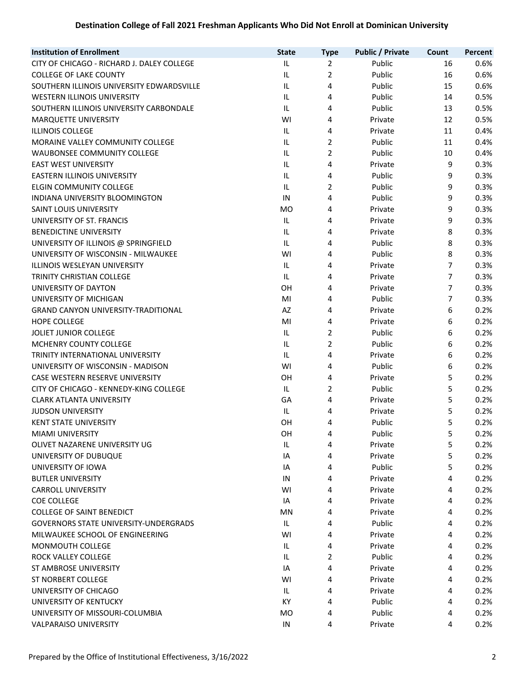| <b>Public / Private</b><br><b>Type</b><br>Public<br>CITY OF CHICAGO - RICHARD J. DALEY COLLEGE<br>IL<br>$\overline{2}$<br>16<br>$\overline{2}$<br>IL<br>Public<br>16<br><b>COLLEGE OF LAKE COUNTY</b><br>IL<br>4<br>Public<br>15<br>SOUTHERN ILLINOIS UNIVERSITY EDWARDSVILLE | 0.6%<br>0.6%<br>0.6%<br>0.5% |
|-------------------------------------------------------------------------------------------------------------------------------------------------------------------------------------------------------------------------------------------------------------------------------|------------------------------|
|                                                                                                                                                                                                                                                                               |                              |
|                                                                                                                                                                                                                                                                               |                              |
|                                                                                                                                                                                                                                                                               |                              |
| WESTERN ILLINOIS UNIVERSITY<br>IL.<br>4<br>Public<br>14                                                                                                                                                                                                                       |                              |
| SOUTHERN ILLINOIS UNIVERSITY CARBONDALE<br>IL.<br>Public<br>4<br>13                                                                                                                                                                                                           | 0.5%                         |
| MARQUETTE UNIVERSITY<br>WI<br>4<br>Private<br>12                                                                                                                                                                                                                              | 0.5%                         |
| <b>ILLINOIS COLLEGE</b><br>IL.<br>4<br>11<br>Private                                                                                                                                                                                                                          | 0.4%                         |
| $\overline{2}$<br>IL<br>Public<br>11<br>MORAINE VALLEY COMMUNITY COLLEGE                                                                                                                                                                                                      | 0.4%                         |
| $\overline{2}$<br>IL<br>Public<br><b>WAUBONSEE COMMUNITY COLLEGE</b><br>10                                                                                                                                                                                                    | 0.4%                         |
| IL<br>4<br><b>EAST WEST UNIVERSITY</b><br>Private<br>9                                                                                                                                                                                                                        | 0.3%                         |
| EASTERN ILLINOIS UNIVERSITY<br>IL<br>4<br>Public<br>9                                                                                                                                                                                                                         | 0.3%                         |
| 9<br><b>ELGIN COMMUNITY COLLEGE</b><br>IL<br>2<br>Public                                                                                                                                                                                                                      | 0.3%                         |
| 9<br>IN<br>4<br>Public<br>INDIANA UNIVERSITY BLOOMINGTON                                                                                                                                                                                                                      | 0.3%                         |
| 9<br><b>MO</b><br>4<br>SAINT LOUIS UNIVERSITY<br>Private                                                                                                                                                                                                                      | 0.3%                         |
| 9<br>UNIVERSITY OF ST. FRANCIS<br>IL<br>4<br>Private                                                                                                                                                                                                                          | 0.3%                         |
| <b>BENEDICTINE UNIVERSITY</b><br>IL<br>8<br>4<br>Private                                                                                                                                                                                                                      | 0.3%                         |
| UNIVERSITY OF ILLINOIS @ SPRINGFIELD<br>IL<br>Public<br>8<br>4                                                                                                                                                                                                                | 0.3%                         |
| 8<br>UNIVERSITY OF WISCONSIN - MILWAUKEE<br>WI<br>4<br>Public                                                                                                                                                                                                                 | 0.3%                         |
| $\overline{7}$<br>IL.<br>4<br>ILLINOIS WESLEYAN UNIVERSITY<br>Private                                                                                                                                                                                                         | 0.3%                         |
| 7<br><b>TRINITY CHRISTIAN COLLEGE</b><br>IL<br>4<br>Private                                                                                                                                                                                                                   | 0.3%                         |
| $\overline{7}$<br>UNIVERSITY OF DAYTON<br>OH<br>4<br>Private                                                                                                                                                                                                                  | 0.3%                         |
| UNIVERSITY OF MICHIGAN<br>MI<br>Public<br>7<br>4                                                                                                                                                                                                                              | 0.3%                         |
| <b>GRAND CANYON UNIVERSITY-TRADITIONAL</b><br>AZ<br>Private<br>6<br>4                                                                                                                                                                                                         | 0.2%                         |
| 6<br>MI<br>4<br><b>HOPE COLLEGE</b><br>Private                                                                                                                                                                                                                                | 0.2%                         |
| $\overline{2}$<br>IL<br>Public<br>6<br>JOLIET JUNIOR COLLEGE                                                                                                                                                                                                                  | 0.2%                         |
| $\overline{2}$<br>MCHENRY COUNTY COLLEGE<br>IL<br>Public<br>6                                                                                                                                                                                                                 | 0.2%                         |
| TRINITY INTERNATIONAL UNIVERSITY<br>IL<br>4<br>6<br>Private                                                                                                                                                                                                                   | 0.2%                         |
| UNIVERSITY OF WISCONSIN - MADISON<br>WI<br>Public<br>6<br>4                                                                                                                                                                                                                   | 0.2%                         |
| 5<br>CASE WESTERN RESERVE UNIVERSITY<br>OH<br>4<br>Private                                                                                                                                                                                                                    | 0.2%                         |
| $\overline{2}$<br>5<br>CITY OF CHICAGO - KENNEDY-KING COLLEGE<br>IL<br>Public                                                                                                                                                                                                 | 0.2%                         |
| 5<br>GA<br>4<br><b>CLARK ATLANTA UNIVERSITY</b><br>Private                                                                                                                                                                                                                    | 0.2%                         |
| <b>JUDSON UNIVERSITY</b><br>IL<br>5<br>4<br>Private                                                                                                                                                                                                                           | 0.2%                         |
| 5<br><b>KENT STATE UNIVERSITY</b><br>OH<br>Public<br>4                                                                                                                                                                                                                        | 0.2%                         |
| <b>MIAMI UNIVERSITY</b><br>Public<br>OH<br>4<br>5                                                                                                                                                                                                                             | 0.2%                         |
| 5<br>OLIVET NAZARENE UNIVERSITY UG<br>IL<br>4<br>Private                                                                                                                                                                                                                      | 0.2%                         |
| 4<br>5<br>UNIVERSITY OF DUBUQUE<br>IA<br>Private                                                                                                                                                                                                                              | 0.2%                         |
| UNIVERSITY OF IOWA<br>Public<br>5<br>IA<br>4                                                                                                                                                                                                                                  | 0.2%                         |
| <b>BUTLER UNIVERSITY</b><br>IN<br>4<br>Private<br>4                                                                                                                                                                                                                           | 0.2%                         |
| <b>CARROLL UNIVERSITY</b><br>WI<br>Private<br>4<br>4                                                                                                                                                                                                                          | 0.2%                         |
| <b>COE COLLEGE</b><br>IA<br>4<br>Private<br>4                                                                                                                                                                                                                                 | 0.2%                         |
| <b>COLLEGE OF SAINT BENEDICT</b><br>MN<br>4<br>Private<br>4                                                                                                                                                                                                                   | 0.2%                         |
| <b>GOVERNORS STATE UNIVERSITY-UNDERGRADS</b><br>IL<br>4<br>Public<br>4                                                                                                                                                                                                        | 0.2%                         |
| MILWAUKEE SCHOOL OF ENGINEERING<br>WI<br>4<br>Private<br>4                                                                                                                                                                                                                    | 0.2%                         |
| <b>MONMOUTH COLLEGE</b><br>IL.<br>4<br>Private<br>4                                                                                                                                                                                                                           | 0.2%                         |
| 2<br>Public<br>ROCK VALLEY COLLEGE<br>IL<br>4                                                                                                                                                                                                                                 | 0.2%                         |
| ST AMBROSE UNIVERSITY<br>IA<br>4<br>Private<br>4                                                                                                                                                                                                                              | 0.2%                         |
| <b>ST NORBERT COLLEGE</b><br>4<br>4<br>WI<br>Private                                                                                                                                                                                                                          | 0.2%                         |
| UNIVERSITY OF CHICAGO<br>IL<br>4<br>Private<br>4                                                                                                                                                                                                                              | 0.2%                         |
| Public<br>UNIVERSITY OF KENTUCKY<br>КY<br>4<br>4                                                                                                                                                                                                                              | 0.2%                         |
| UNIVERSITY OF MISSOURI-COLUMBIA<br>Public<br><b>MO</b><br>4<br>4                                                                                                                                                                                                              | 0.2%                         |
| VALPARAISO UNIVERSITY<br>Private<br>IN<br>4<br>4                                                                                                                                                                                                                              | 0.2%                         |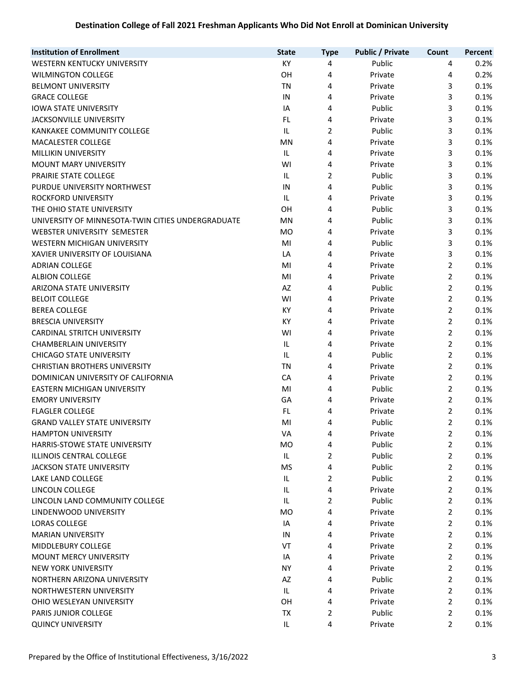| <b>Institution of Enrollment</b>                  | <b>State</b>   | <b>Type</b>    | <b>Public / Private</b> | Count          | Percent |
|---------------------------------------------------|----------------|----------------|-------------------------|----------------|---------|
| WESTERN KENTUCKY UNIVERSITY                       | KY             | 4              | Public                  | 4              | 0.2%    |
| <b>WILMINGTON COLLEGE</b>                         | OH             | 4              | Private                 | 4              | 0.2%    |
| <b>BELMONT UNIVERSITY</b>                         | <b>TN</b>      | 4              | Private                 | 3              | 0.1%    |
| <b>GRACE COLLEGE</b>                              | IN             | 4              | Private                 | 3              | 0.1%    |
| <b>IOWA STATE UNIVERSITY</b>                      | IA             | 4              | Public                  | 3              | 0.1%    |
| JACKSONVILLE UNIVERSITY                           | FL.            | 4              | Private                 | 3              | 0.1%    |
| KANKAKEE COMMUNITY COLLEGE                        | $\sf IL$       | $\overline{2}$ | Public                  | 3              | 0.1%    |
| MACALESTER COLLEGE                                | MN             | 4              | Private                 | 3              | 0.1%    |
| MILLIKIN UNIVERSITY                               | IL             | 4              | Private                 | 3              | 0.1%    |
| <b>MOUNT MARY UNIVERSITY</b>                      | WI             | 4              | Private                 | 3              | 0.1%    |
| PRAIRIE STATE COLLEGE                             | IL             | 2              | Public                  | 3              | 0.1%    |
| PURDUE UNIVERSITY NORTHWEST                       | IN             | 4              | Public                  | 3              | 0.1%    |
| ROCKFORD UNIVERSITY                               | IL             | 4              | Private                 | 3              | 0.1%    |
| THE OHIO STATE UNIVERSITY                         | OH             | 4              | Public                  | 3              | 0.1%    |
| UNIVERSITY OF MINNESOTA-TWIN CITIES UNDERGRADUATE | MN             | 4              | Public                  | 3              | 0.1%    |
| WEBSTER UNIVERSITY SEMESTER                       | <b>MO</b>      | 4              | Private                 | 3              | 0.1%    |
| WESTERN MICHIGAN UNIVERSITY                       | MI             | 4              | Public                  | 3              | 0.1%    |
| XAVIER UNIVERSITY OF LOUISIANA                    | LA             | 4              | Private                 | 3              | 0.1%    |
| <b>ADRIAN COLLEGE</b>                             | MI             | 4              | Private                 | 2              | 0.1%    |
| <b>ALBION COLLEGE</b>                             | MI             | 4              | Private                 | $\overline{2}$ | 0.1%    |
| ARIZONA STATE UNIVERSITY                          | AZ             | 4              | Public                  | 2              | 0.1%    |
| <b>BELOIT COLLEGE</b>                             | WI             | 4              | Private                 | 2              | 0.1%    |
| <b>BEREA COLLEGE</b>                              | KY             | 4              | Private                 | 2              | 0.1%    |
| <b>BRESCIA UNIVERSITY</b>                         | KY             | 4              | Private                 | 2              | 0.1%    |
| <b>CARDINAL STRITCH UNIVERSITY</b>                | WI             | 4              | Private                 | $\overline{2}$ | 0.1%    |
| <b>CHAMBERLAIN UNIVERSITY</b>                     | IL             | 4              | Private                 | 2              | 0.1%    |
| <b>CHICAGO STATE UNIVERSITY</b>                   | IL             | 4              | Public                  | $\overline{2}$ | 0.1%    |
| <b>CHRISTIAN BROTHERS UNIVERSITY</b>              | <b>TN</b>      | 4              | Private                 | $\overline{2}$ | 0.1%    |
| DOMINICAN UNIVERSITY OF CALIFORNIA                | CA             | 4              | Private                 | $\overline{2}$ | 0.1%    |
| EASTERN MICHIGAN UNIVERSITY                       | MI             | 4              | Public                  | 2              | 0.1%    |
| <b>EMORY UNIVERSITY</b>                           | GA             | 4              | Private                 | $\overline{2}$ | 0.1%    |
| <b>FLAGLER COLLEGE</b>                            | FL.            | 4              | Private                 | 2              | 0.1%    |
| <b>GRAND VALLEY STATE UNIVERSITY</b>              | MI             | 4              | Public                  | 2              | 0.1%    |
| <b>HAMPTON UNIVERSITY</b>                         | VA             | 4              | Private                 | 2              | 0.1%    |
| <b>HARRIS-STOWE STATE UNIVERSITY</b>              | MO             | 4              | Public                  | 2              | 0.1%    |
| <b>ILLINOIS CENTRAL COLLEGE</b>                   | IL             | $\overline{2}$ | Public                  | 2              | 0.1%    |
| <b>JACKSON STATE UNIVERSITY</b>                   | MS             | 4              | Public                  | 2              | 0.1%    |
| LAKE LAND COLLEGE                                 | IL             | 2              | Public                  | 2              | 0.1%    |
| LINCOLN COLLEGE                                   | IL             | 4              | Private                 | 2              | 0.1%    |
| LINCOLN LAND COMMUNITY COLLEGE                    | IL             | 2              | Public                  | 2              | 0.1%    |
| LINDENWOOD UNIVERSITY                             | M <sub>O</sub> | 4              | Private                 | 2              | 0.1%    |
| <b>LORAS COLLEGE</b>                              | IA             | 4              | Private                 | $\overline{2}$ | 0.1%    |
| <b>MARIAN UNIVERSITY</b>                          | IN             | 4              | Private                 | 2              | 0.1%    |
| MIDDLEBURY COLLEGE                                | VT             | 4              | Private                 | 2              | 0.1%    |
| <b>MOUNT MERCY UNIVERSITY</b>                     | IA             | 4              | Private                 | 2              | 0.1%    |
| <b>NEW YORK UNIVERSITY</b>                        | <b>NY</b>      | 4              | Private                 | 2              | 0.1%    |
| NORTHERN ARIZONA UNIVERSITY                       | AZ             | 4              | Public                  | 2              | 0.1%    |
| NORTHWESTERN UNIVERSITY                           | IL             | 4              | Private                 | 2              | 0.1%    |
| OHIO WESLEYAN UNIVERSITY                          | OH             | 4              | Private                 | 2              | 0.1%    |
| <b>PARIS JUNIOR COLLEGE</b>                       | ТX             | 2              | Public                  | 2              | 0.1%    |
| <b>QUINCY UNIVERSITY</b>                          | IL             | 4              | Private                 | 2              | 0.1%    |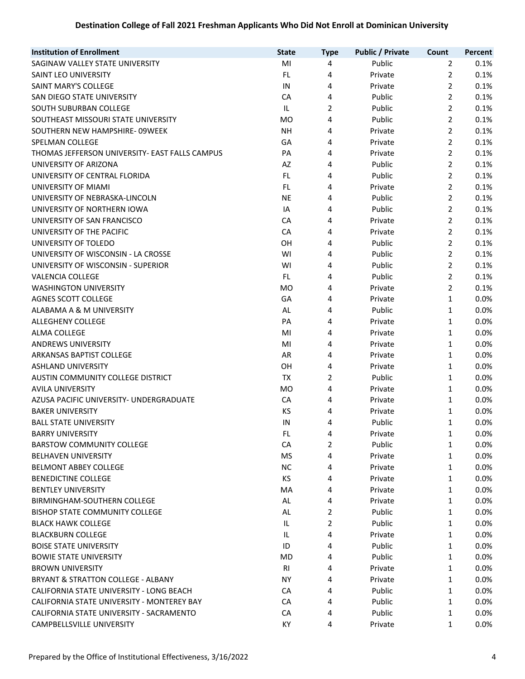| <b>Institution of Enrollment</b>               | <b>State</b> | <b>Type</b>    | <b>Public / Private</b> | Count          | Percent |
|------------------------------------------------|--------------|----------------|-------------------------|----------------|---------|
| SAGINAW VALLEY STATE UNIVERSITY                | MI           | 4              | Public                  | $\overline{2}$ | 0.1%    |
| SAINT LEO UNIVERSITY                           | FL.          | 4              | Private                 | $\overline{2}$ | 0.1%    |
| SAINT MARY'S COLLEGE                           | IN           | 4              | Private                 | 2              | 0.1%    |
| SAN DIEGO STATE UNIVERSITY                     | CA           | 4              | Public                  | $\overline{2}$ | 0.1%    |
| SOUTH SUBURBAN COLLEGE                         | IL           | $\overline{2}$ | Public                  | $\overline{2}$ | 0.1%    |
| SOUTHEAST MISSOURI STATE UNIVERSITY            | <b>MO</b>    | 4              | Public                  | $\overline{2}$ | 0.1%    |
| SOUTHERN NEW HAMPSHIRE-09WEEK                  | <b>NH</b>    | 4              | Private                 | $\overline{2}$ | 0.1%    |
| <b>SPELMAN COLLEGE</b>                         | GA           | 4              | Private                 | $\overline{2}$ | 0.1%    |
| THOMAS JEFFERSON UNIVERSITY- EAST FALLS CAMPUS | PA           | 4              | Private                 | $\overline{2}$ | 0.1%    |
| UNIVERSITY OF ARIZONA                          | AZ           | 4              | Public                  | $\overline{2}$ | 0.1%    |
| UNIVERSITY OF CENTRAL FLORIDA                  | FL.          | 4              | Public                  | $\overline{2}$ | 0.1%    |
| UNIVERSITY OF MIAMI                            | FL.          | 4              | Private                 | $\overline{2}$ | 0.1%    |
| UNIVERSITY OF NEBRASKA-LINCOLN                 | <b>NE</b>    | 4              | Public                  | 2              | 0.1%    |
| UNIVERSITY OF NORTHERN IOWA                    | IA           | 4              | Public                  | 2              | 0.1%    |
| UNIVERSITY OF SAN FRANCISCO                    | CA           | 4              | Private                 | $\overline{2}$ | 0.1%    |
| UNIVERSITY OF THE PACIFIC                      | CA           | 4              | Private                 | $\overline{2}$ | 0.1%    |
| UNIVERSITY OF TOLEDO                           | OH           | 4              | Public                  | 2              | 0.1%    |
| UNIVERSITY OF WISCONSIN - LA CROSSE            | WI           | 4              | Public                  | $\overline{2}$ | 0.1%    |
| UNIVERSITY OF WISCONSIN - SUPERIOR             | WI           | 4              | Public                  | $\overline{2}$ | 0.1%    |
| <b>VALENCIA COLLEGE</b>                        | FL           | 4              | Public                  | $\overline{2}$ | 0.1%    |
| <b>WASHINGTON UNIVERSITY</b>                   | <b>MO</b>    | 4              | Private                 | $\overline{2}$ | 0.1%    |
| <b>AGNES SCOTT COLLEGE</b>                     | GA           | 4              | Private                 | 1              | 0.0%    |
| ALABAMA A & M UNIVERSITY                       | AL           | 4              | Public                  | $\mathbf{1}$   | 0.0%    |
| ALLEGHENY COLLEGE                              | PA           | 4              | Private                 | 1              | 0.0%    |
| ALMA COLLEGE                                   | MI           | 4              | Private                 | 1              | 0.0%    |
| <b>ANDREWS UNIVERSITY</b>                      | MI           | 4              | Private                 | 1              | 0.0%    |
| ARKANSAS BAPTIST COLLEGE                       | AR           | 4              | Private                 | 1              | 0.0%    |
| <b>ASHLAND UNIVERSITY</b>                      | OH           | 4              | Private                 | 1              | 0.0%    |
| AUSTIN COMMUNITY COLLEGE DISTRICT              | TX           | $\overline{2}$ | Public                  | 1              | 0.0%    |
| <b>AVILA UNIVERSITY</b>                        | <b>MO</b>    | 4              | Private                 | 1              | 0.0%    |
| AZUSA PACIFIC UNIVERSITY- UNDERGRADUATE        | CA           | 4              | Private                 | 1              | 0.0%    |
| <b>BAKER UNIVERSITY</b>                        | KS           | 4              | Private                 | 1              | 0.0%    |
| <b>BALL STATE UNIVERSITY</b>                   | IN           | 4              | Public                  | 1              | 0.0%    |
| <b>BARRY UNIVERSITY</b>                        | FL           | 4              | Private                 | $\mathbf{1}$   | 0.0%    |
| <b>BARSTOW COMMUNITY COLLEGE</b>               | CA           | 2              | Public                  | 1              | 0.0%    |
| <b>BELHAVEN UNIVERSITY</b>                     | <b>MS</b>    | 4              | Private                 | 1              | 0.0%    |
| <b>BELMONT ABBEY COLLEGE</b>                   | <b>NC</b>    | 4              | Private                 | 1              | 0.0%    |
| <b>BENEDICTINE COLLEGE</b>                     | KS           | 4              | Private                 | 1              | 0.0%    |
| <b>BENTLEY UNIVERSITY</b>                      | MA           | 4              | Private                 | 1              | 0.0%    |
| BIRMINGHAM-SOUTHERN COLLEGE                    | AL           | 4              | Private                 | 1              | 0.0%    |
| <b>BISHOP STATE COMMUNITY COLLEGE</b>          | AL           | $\overline{2}$ | Public                  | 1              | 0.0%    |
| <b>BLACK HAWK COLLEGE</b>                      | IL           | $\overline{2}$ | Public                  | 1              | 0.0%    |
| <b>BLACKBURN COLLEGE</b>                       | IL           | 4              | Private                 | 1              | 0.0%    |
| <b>BOISE STATE UNIVERSITY</b>                  | ID           | 4              | Public                  | 1              | 0.0%    |
| <b>BOWIE STATE UNIVERSITY</b>                  | MD           | 4              | Public                  | 1              | 0.0%    |
| <b>BROWN UNIVERSITY</b>                        | RI           | 4              | Private                 | 1              | 0.0%    |
| <b>BRYANT &amp; STRATTON COLLEGE - ALBANY</b>  | NY.          | 4              | Private                 | 1              | 0.0%    |
| CALIFORNIA STATE UNIVERSITY - LONG BEACH       | CA           | 4              | Public                  | 1              | 0.0%    |
| CALIFORNIA STATE UNIVERSITY - MONTEREY BAY     | CA           | 4              | Public                  | 1              | 0.0%    |
| CALIFORNIA STATE UNIVERSITY - SACRAMENTO       | CA           | 4              | Public                  | 1              | 0.0%    |
| CAMPBELLSVILLE UNIVERSITY                      | KY           | 4              | Private                 | 1              | 0.0%    |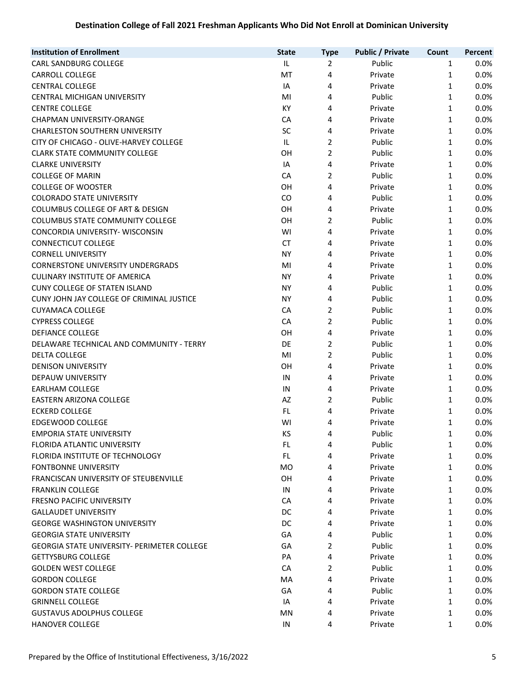| <b>Institution of Enrollment</b>            | <b>State</b> | <b>Type</b>    | <b>Public / Private</b> | Count        | Percent |
|---------------------------------------------|--------------|----------------|-------------------------|--------------|---------|
| CARL SANDBURG COLLEGE                       | IL.          | 2              | Public                  | $\mathbf{1}$ | 0.0%    |
| <b>CARROLL COLLEGE</b>                      | MT           | 4              | Private                 | $\mathbf{1}$ | 0.0%    |
| <b>CENTRAL COLLEGE</b>                      | IA           | 4              | Private                 | 1            | 0.0%    |
| <b>CENTRAL MICHIGAN UNIVERSITY</b>          | MI           | 4              | Public                  | 1            | 0.0%    |
| <b>CENTRE COLLEGE</b>                       | KY           | 4              | Private                 | 1            | 0.0%    |
| CHAPMAN UNIVERSITY-ORANGE                   | CA           | 4              | Private                 | 1            | 0.0%    |
| <b>CHARLESTON SOUTHERN UNIVERSITY</b>       | SC           | 4              | Private                 | 1            | 0.0%    |
| CITY OF CHICAGO - OLIVE-HARVEY COLLEGE      | IL.          | $\overline{2}$ | Public                  | 1            | 0.0%    |
| <b>CLARK STATE COMMUNITY COLLEGE</b>        | OH           | $\overline{2}$ | Public                  | 1            | 0.0%    |
| <b>CLARKE UNIVERSITY</b>                    | IA           | 4              | Private                 | 1            | 0.0%    |
| <b>COLLEGE OF MARIN</b>                     | CA           | 2              | Public                  | 1            | 0.0%    |
| <b>COLLEGE OF WOOSTER</b>                   | OH           | 4              | Private                 | 1            | 0.0%    |
| <b>COLORADO STATE UNIVERSITY</b>            | CO           | 4              | Public                  | 1            | 0.0%    |
| COLUMBUS COLLEGE OF ART & DESIGN            | OH           | 4              | Private                 | 1            | 0.0%    |
| <b>COLUMBUS STATE COMMUNITY COLLEGE</b>     | OH           | $\overline{2}$ | Public                  | 1            | 0.0%    |
| CONCORDIA UNIVERSITY- WISCONSIN             | WI           | 4              | Private                 | 1            | 0.0%    |
| <b>CONNECTICUT COLLEGE</b>                  | <b>CT</b>    | 4              | Private                 | 1            | 0.0%    |
| <b>CORNELL UNIVERSITY</b>                   | <b>NY</b>    | 4              | Private                 | 1            | 0.0%    |
| <b>CORNERSTONE UNIVERSITY UNDERGRADS</b>    | MI           | 4              | Private                 | 1            | 0.0%    |
| <b>CULINARY INSTITUTE OF AMERICA</b>        | <b>NY</b>    | 4              | Private                 | 1            | 0.0%    |
| <b>CUNY COLLEGE OF STATEN ISLAND</b>        | <b>NY</b>    | 4              | Public                  | 1            | 0.0%    |
| CUNY JOHN JAY COLLEGE OF CRIMINAL JUSTICE   | <b>NY</b>    | 4              | Public                  | 1            | 0.0%    |
| <b>CUYAMACA COLLEGE</b>                     | CA           | 2              | Public                  | 1            | 0.0%    |
| <b>CYPRESS COLLEGE</b>                      | CA           | $\overline{2}$ | Public                  | 1            | 0.0%    |
| <b>DEFIANCE COLLEGE</b>                     | OH           | 4              | Private                 | 1            | 0.0%    |
| DELAWARE TECHNICAL AND COMMUNITY - TERRY    | DE           | $\overline{2}$ | Public                  | $\mathbf{1}$ | 0.0%    |
| <b>DELTA COLLEGE</b>                        | MI           | $\overline{2}$ | Public                  | 1            | 0.0%    |
| <b>DENISON UNIVERSITY</b>                   | OH           | 4              | Private                 | 1            | 0.0%    |
| DEPAUW UNIVERSITY                           | IN           | 4              | Private                 | 1            | 0.0%    |
| <b>EARLHAM COLLEGE</b>                      | IN           | 4              | Private                 | 1            | 0.0%    |
| EASTERN ARIZONA COLLEGE                     | AZ           | $\overline{2}$ | Public                  | 1            | 0.0%    |
| <b>ECKERD COLLEGE</b>                       | FL.          | 4              | Private                 | 1            | 0.0%    |
| EDGEWOOD COLLEGE                            | WI           | 4              | Private                 | 1            | 0.0%    |
| <b>EMPORIA STATE UNIVERSITY</b>             | ΚS           | 4              | Public                  | $\mathbf{1}$ | 0.0%    |
| FLORIDA ATLANTIC UNIVERSITY                 | FL.          | 4              | Public                  | 1            | 0.0%    |
| FLORIDA INSTITUTE OF TECHNOLOGY             | FL.          | 4              | Private                 | 1            | 0.0%    |
| <b>FONTBONNE UNIVERSITY</b>                 | <b>MO</b>    | 4              | Private                 | 1            | 0.0%    |
| FRANCISCAN UNIVERSITY OF STEUBENVILLE       | 0H           | 4              | Private                 | 1            | 0.0%    |
| <b>FRANKLIN COLLEGE</b>                     | IN           | 4              | Private                 | 1            | 0.0%    |
| <b>FRESNO PACIFIC UNIVERSITY</b>            | CA           | 4              | Private                 | 1            | 0.0%    |
| <b>GALLAUDET UNIVERSITY</b>                 | DC           | 4              | Private                 | 1            | 0.0%    |
| <b>GEORGE WASHINGTON UNIVERSITY</b>         | DC           | 4              | Private                 | 1            | 0.0%    |
| <b>GEORGIA STATE UNIVERSITY</b>             | GA           | 4              | Public                  | 1            | 0.0%    |
| GEORGIA STATE UNIVERSITY- PERIMETER COLLEGE | GA           | $\overline{2}$ | Public                  | 1            | 0.0%    |
| <b>GETTYSBURG COLLEGE</b>                   | PA           | 4              | Private                 | 1            | 0.0%    |
| <b>GOLDEN WEST COLLEGE</b>                  | CA           | $\overline{2}$ | Public                  | 1            | 0.0%    |
| <b>GORDON COLLEGE</b>                       | MA           | 4              | Private                 | 1            | 0.0%    |
| <b>GORDON STATE COLLEGE</b>                 | GA           | 4              | Public                  | 1            | 0.0%    |
| <b>GRINNELL COLLEGE</b>                     | IA           | 4              | Private                 | 1            | 0.0%    |
| <b>GUSTAVUS ADOLPHUS COLLEGE</b>            | <b>MN</b>    | 4              | Private                 | 1            | 0.0%    |
| <b>HANOVER COLLEGE</b>                      | IN           | 4              | Private                 | 1            | 0.0%    |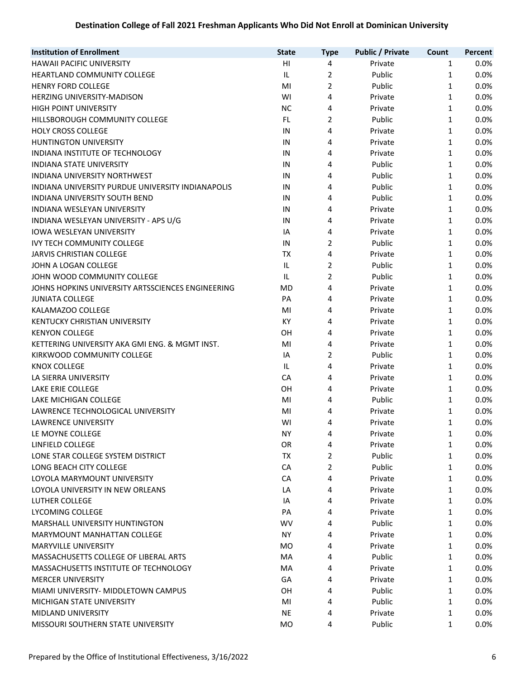| <b>Institution of Enrollment</b><br><b>Public / Private</b><br><b>State</b><br>Count<br><b>Type</b> |              | Percent |
|-----------------------------------------------------------------------------------------------------|--------------|---------|
| HAWAII PACIFIC UNIVERSITY<br>HI<br>4<br>Private                                                     | $\mathbf{1}$ | 0.0%    |
| $\overline{2}$<br>IL<br>Public<br><b>HEARTLAND COMMUNITY COLLEGE</b>                                | $\mathbf{1}$ | 0.0%    |
| $\overline{2}$<br>MI<br><b>HENRY FORD COLLEGE</b><br>Public                                         | 1            | 0.0%    |
| WI<br>4<br><b>HERZING UNIVERSITY-MADISON</b><br>Private                                             | 1            | 0.0%    |
| <b>HIGH POINT UNIVERSITY</b><br><b>NC</b><br>4<br>Private                                           | 1            | 0.0%    |
| $\overline{2}$<br>HILLSBOROUGH COMMUNITY COLLEGE<br>FL.<br>Public                                   | 1            | 0.0%    |
| <b>HOLY CROSS COLLEGE</b><br>4<br>IN<br>Private                                                     | 1            | 0.0%    |
| HUNTINGTON UNIVERSITY<br>4<br>IN<br>Private                                                         | 1            | 0.0%    |
| INDIANA INSTITUTE OF TECHNOLOGY<br>IN<br>4<br>Private                                               | 1            | 0.0%    |
| <b>INDIANA STATE UNIVERSITY</b><br>Public<br>IN<br>4                                                | 1            | 0.0%    |
| <b>INDIANA UNIVERSITY NORTHWEST</b><br>Public<br>IN<br>4                                            | 1            | 0.0%    |
| INDIANA UNIVERSITY PURDUE UNIVERSITY INDIANAPOLIS<br>Public<br>IN<br>4                              | 1            | 0.0%    |
| <b>INDIANA UNIVERSITY SOUTH BEND</b><br>IN<br>4<br>Public                                           | 1            | 0.0%    |
| 4<br>INDIANA WESLEYAN UNIVERSITY<br>IN<br>Private                                                   | 1            | 0.0%    |
| INDIANA WESLEYAN UNIVERSITY - APS U/G<br>IN<br>4<br>Private                                         | 1            | 0.0%    |
| IOWA WESLEYAN UNIVERSITY<br>IA<br>4<br>Private                                                      | 1            | 0.0%    |
| $\overline{2}$<br><b>IVY TECH COMMUNITY COLLEGE</b><br>Public<br>IN                                 | 1            | 0.0%    |
| JARVIS CHRISTIAN COLLEGE<br>TX<br>4<br>Private                                                      | 1            | 0.0%    |
| $\overline{2}$<br>JOHN A LOGAN COLLEGE<br>IL<br>Public                                              | 1            | 0.0%    |
| $\overline{2}$<br>IL<br>Public<br>JOHN WOOD COMMUNITY COLLEGE                                       | 1            | 0.0%    |
| JOHNS HOPKINS UNIVERSITY ARTSSCIENCES ENGINEERING<br>MD<br>4<br>Private                             | 1            | 0.0%    |
| PA<br><b>JUNIATA COLLEGE</b><br>4<br>Private                                                        | 1            | 0.0%    |
| MI<br>KALAMAZOO COLLEGE<br>4<br>Private                                                             | 1            | 0.0%    |
| KENTUCKY CHRISTIAN UNIVERSITY<br>KY<br>4<br>Private                                                 | 1            | 0.0%    |
| OH<br>4<br><b>KENYON COLLEGE</b><br>Private                                                         | 1            | 0.0%    |
| KETTERING UNIVERSITY AKA GMI ENG. & MGMT INST.<br>MI<br>4<br>Private                                | $\mathbf{1}$ | 0.0%    |
| KIRKWOOD COMMUNITY COLLEGE<br>2<br>Public<br>IA                                                     | 1            | 0.0%    |
| IL<br><b>KNOX COLLEGE</b><br>4<br>Private                                                           | 1            | 0.0%    |
| LA SIERRA UNIVERSITY<br>CA<br>4<br>Private                                                          | 1            | 0.0%    |
| LAKE ERIE COLLEGE<br>OH<br>4<br>Private                                                             | 1            | 0.0%    |
| LAKE MICHIGAN COLLEGE<br>MI<br>Public<br>4                                                          | 1            | 0.0%    |
| LAWRENCE TECHNOLOGICAL UNIVERSITY<br>MI<br>Private<br>4                                             | 1            | 0.0%    |
| <b>LAWRENCE UNIVERSITY</b><br>WI<br>4<br>Private                                                    | 1            | 0.0%    |
| LE MOYNE COLLEGE<br>NY.<br>4<br>Private                                                             | 1            | 0.0%    |
| LINFIELD COLLEGE<br>OR<br>4<br>Private                                                              | 1            | 0.0%    |
| $\overline{2}$<br>TX<br>LONE STAR COLLEGE SYSTEM DISTRICT<br>Public                                 | 1            | 0.0%    |
| LONG BEACH CITY COLLEGE<br>CA<br>2<br>Public                                                        | 1            | 0.0%    |
| LOYOLA MARYMOUNT UNIVERSITY<br>CA<br>4<br>Private                                                   | 1            | 0.0%    |
| LOYOLA UNIVERSITY IN NEW ORLEANS<br>LA<br>4<br>Private                                              | 1            | 0.0%    |
| LUTHER COLLEGE<br>IA<br>4<br>Private                                                                | 1            | 0.0%    |
| LYCOMING COLLEGE<br>PA<br>4<br>Private                                                              | 1            | 0.0%    |
| MARSHALL UNIVERSITY HUNTINGTON<br>WV<br>4<br>Public                                                 | 1            | 0.0%    |
| MARYMOUNT MANHATTAN COLLEGE<br><b>NY</b><br>4<br>Private                                            | 1            | 0.0%    |
| <b>MARYVILLE UNIVERSITY</b><br><b>MO</b><br>4<br>Private                                            | 1            | 0.0%    |
| MASSACHUSETTS COLLEGE OF LIBERAL ARTS<br>MA<br>4<br>Public                                          | 1            | 0.0%    |
| MASSACHUSETTS INSTITUTE OF TECHNOLOGY<br>MA<br>4<br>Private                                         | 1            | 0.0%    |
| <b>MERCER UNIVERSITY</b><br>GA<br>4<br>Private                                                      | 1            | 0.0%    |
| OH<br>Public<br>MIAMI UNIVERSITY- MIDDLETOWN CAMPUS<br>4                                            | 1            | 0.0%    |
| MICHIGAN STATE UNIVERSITY<br>MI<br>Public<br>4                                                      | 1            | 0.0%    |
| <b>MIDLAND UNIVERSITY</b><br><b>NE</b><br>Private<br>4                                              | 1            | 0.0%    |
| MISSOURI SOUTHERN STATE UNIVERSITY<br>Public<br><b>MO</b><br>4                                      | 1            | 0.0%    |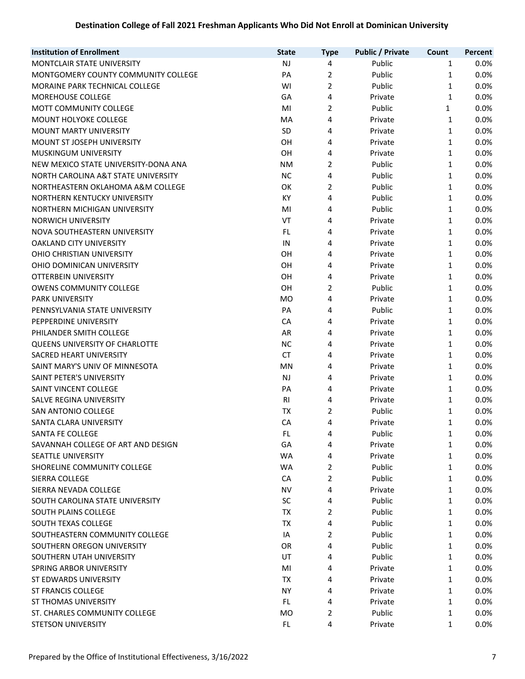| <b>Institution of Enrollment</b>     | <b>State</b>   | <b>Type</b>    | <b>Public / Private</b> | Count        | Percent |
|--------------------------------------|----------------|----------------|-------------------------|--------------|---------|
| MONTCLAIR STATE UNIVERSITY           | <b>NJ</b>      | 4              | Public                  | $\mathbf{1}$ | 0.0%    |
| MONTGOMERY COUNTY COMMUNITY COLLEGE  | PA             | $\overline{2}$ | Public                  | 1            | 0.0%    |
| MORAINE PARK TECHNICAL COLLEGE       | WI             | $\overline{2}$ | Public                  | 1            | 0.0%    |
| MOREHOUSE COLLEGE                    | GA             | 4              | Private                 | $\mathbf{1}$ | 0.0%    |
| MOTT COMMUNITY COLLEGE               | MI             | $\overline{2}$ | Public                  | 1            | 0.0%    |
| MOUNT HOLYOKE COLLEGE                | MA             | 4              | Private                 | $\mathbf{1}$ | 0.0%    |
| MOUNT MARTY UNIVERSITY               | SD             | 4              | Private                 | 1            | 0.0%    |
| MOUNT ST JOSEPH UNIVERSITY           | OH             | 4              | Private                 | 1            | 0.0%    |
| <b>MUSKINGUM UNIVERSITY</b>          | OH             | 4              | Private                 | 1            | 0.0%    |
| NEW MEXICO STATE UNIVERSITY-DONA ANA | NM             | 2              | Public                  | 1            | 0.0%    |
| NORTH CAROLINA A&T STATE UNIVERSITY  | <b>NC</b>      | 4              | Public                  | 1            | 0.0%    |
| NORTHEASTERN OKLAHOMA A&M COLLEGE    | OK             | $\overline{2}$ | Public                  | 1            | 0.0%    |
| NORTHERN KENTUCKY UNIVERSITY         | KY             | 4              | Public                  | 1            | 0.0%    |
| NORTHERN MICHIGAN UNIVERSITY         | MI             | 4              | Public                  | 1            | 0.0%    |
| <b>NORWICH UNIVERSITY</b>            | VT             | 4              | Private                 | $\mathbf{1}$ | 0.0%    |
| NOVA SOUTHEASTERN UNIVERSITY         | FL.            | 4              | Private                 | 1            | 0.0%    |
| OAKLAND CITY UNIVERSITY              | IN             | 4              | Private                 | $\mathbf{1}$ | 0.0%    |
| OHIO CHRISTIAN UNIVERSITY            | OH             | 4              | Private                 | $\mathbf{1}$ | 0.0%    |
| OHIO DOMINICAN UNIVERSITY            | OH             | 4              | Private                 | 1            | 0.0%    |
| OTTERBEIN UNIVERSITY                 | OH             | 4              | Private                 | 1            | 0.0%    |
| <b>OWENS COMMUNITY COLLEGE</b>       | OH             | 2              | Public                  | 1            | 0.0%    |
| <b>PARK UNIVERSITY</b>               | <b>MO</b>      | 4              | Private                 | 1            | 0.0%    |
| PENNSYLVANIA STATE UNIVERSITY        | PA             | 4              | Public                  | 1            | 0.0%    |
| PEPPERDINE UNIVERSITY                | CA             | 4              | Private                 | 1            | 0.0%    |
| PHILANDER SMITH COLLEGE              | AR             | 4              | Private                 | 1            | 0.0%    |
| QUEENS UNIVERSITY OF CHARLOTTE       | <b>NC</b>      | 4              | Private                 | 1            | 0.0%    |
| SACRED HEART UNIVERSITY              | <b>CT</b>      | 4              | Private                 | 1            | 0.0%    |
| SAINT MARY'S UNIV OF MINNESOTA       | MN             | 4              | Private                 | 1            | 0.0%    |
| SAINT PETER'S UNIVERSITY             | NJ             | 4              | Private                 | 1            | 0.0%    |
| SAINT VINCENT COLLEGE                | PA             | 4              | Private                 | 1            | 0.0%    |
| SALVE REGINA UNIVERSITY              | R <sub>l</sub> | 4              | Private                 | 1            | 0.0%    |
| SAN ANTONIO COLLEGE                  | <b>TX</b>      | 2              | Public                  | 1            | 0.0%    |
| SANTA CLARA UNIVERSITY               | CA             | 4              | Private                 | 1            | 0.0%    |
| SANTA FE COLLEGE                     | FL             | 4              | Public                  | $\mathbf{1}$ | 0.0%    |
| SAVANNAH COLLEGE OF ART AND DESIGN   | GA             | 4              | Private                 | 1            | $0.0\%$ |
| <b>SEATTLE UNIVERSITY</b>            | <b>WA</b>      | 4              | Private                 | 1            | 0.0%    |
| SHORELINE COMMUNITY COLLEGE          | <b>WA</b>      | 2              | Public                  | 1            | 0.0%    |
| SIERRA COLLEGE                       | CA             | 2              | Public                  | 1            | 0.0%    |
| SIERRA NEVADA COLLEGE                | <b>NV</b>      | 4              | Private                 | 1            | 0.0%    |
| SOUTH CAROLINA STATE UNIVERSITY      | <b>SC</b>      | 4              | Public                  | $\mathbf{1}$ | 0.0%    |
| SOUTH PLAINS COLLEGE                 | TX             | 2              | Public                  | 1            | 0.0%    |
| SOUTH TEXAS COLLEGE                  | TX             | 4              | Public                  | 1            | 0.0%    |
| SOUTHEASTERN COMMUNITY COLLEGE       | IA             | 2              | Public                  | 1            | 0.0%    |
| SOUTHERN OREGON UNIVERSITY           | OR.            | 4              | Public                  | 1            | 0.0%    |
| SOUTHERN UTAH UNIVERSITY             | UT             | 4              | Public                  | 1            | 0.0%    |
| SPRING ARBOR UNIVERSITY              | MI             | 4              | Private                 | 1            | 0.0%    |
| ST EDWARDS UNIVERSITY                | TX             | 4              | Private                 | 1            | 0.0%    |
| <b>ST FRANCIS COLLEGE</b>            | <b>NY</b>      | 4              | Private                 | 1            | 0.0%    |
| ST THOMAS UNIVERSITY                 | FL             | 4              | Private                 | 1            | 0.0%    |
| ST. CHARLES COMMUNITY COLLEGE        | <b>MO</b>      | 2              | Public                  | 1            | 0.0%    |
| STETSON UNIVERSITY                   | FL             | 4              | Private                 | 1            | 0.0%    |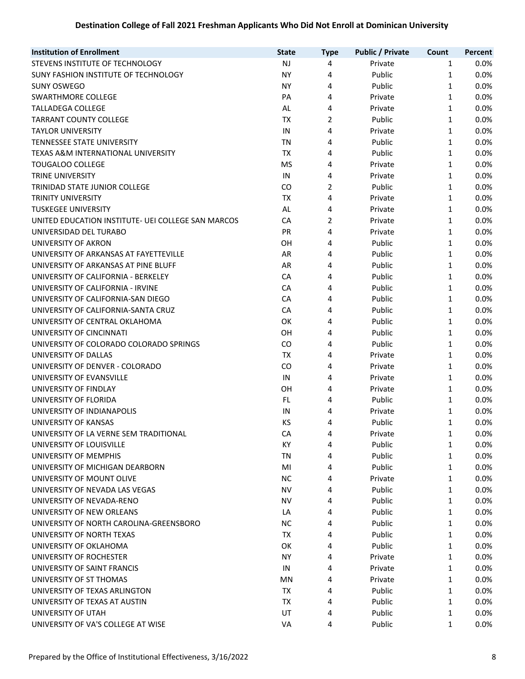| <b>Type</b>                                                                              |      |
|------------------------------------------------------------------------------------------|------|
| STEVENS INSTITUTE OF TECHNOLOGY<br><b>NJ</b><br>Private<br>4<br>$\mathbf{1}$             | 0.0% |
| SUNY FASHION INSTITUTE OF TECHNOLOGY<br><b>NY</b><br>4<br>Public<br>$\mathbf{1}$         | 0.0% |
| <b>NY</b><br>4<br>Public<br>$\mathbf{1}$<br><b>SUNY OSWEGO</b>                           | 0.0% |
| SWARTHMORE COLLEGE<br>PA<br>4<br>$\mathbf{1}$<br>Private                                 | 0.0% |
| <b>TALLADEGA COLLEGE</b><br>$\mathbf{1}$<br>AL<br>4<br>Private                           | 0.0% |
| <b>TARRANT COUNTY COLLEGE</b><br><b>TX</b><br>2<br>Public<br>$\mathbf{1}$                | 0.0% |
| <b>TAYLOR UNIVERSITY</b><br>IN<br>4<br>Private<br>$\mathbf{1}$                           | 0.0% |
| TENNESSEE STATE UNIVERSITY<br><b>TN</b><br>4<br>Public<br>$\mathbf{1}$                   | 0.0% |
| TEXAS A&M INTERNATIONAL UNIVERSITY<br><b>TX</b><br>4<br>Public<br>$\mathbf{1}$           | 0.0% |
| <b>TOUGALOO COLLEGE</b><br><b>MS</b><br>4<br>Private<br>$\mathbf{1}$                     | 0.0% |
| TRINE UNIVERSITY<br>IN<br>4<br>Private<br>$\mathbf{1}$                                   | 0.0% |
| TRINIDAD STATE JUNIOR COLLEGE<br>CO<br>2<br>Public<br>$\mathbf{1}$                       | 0.0% |
| TX<br>4<br>1<br><b>TRINITY UNIVERSITY</b><br>Private                                     | 0.0% |
| <b>TUSKEGEE UNIVERSITY</b><br>AL<br>4<br>1<br>Private                                    | 0.0% |
| 2<br>CA<br>UNITED EDUCATION INSTITUTE- UEI COLLEGE SAN MARCOS<br>Private<br>$\mathbf{1}$ | 0.0% |
| UNIVERSIDAD DEL TURABO<br>PR<br>4<br>$\mathbf{1}$<br>Private                             | 0.0% |
| UNIVERSITY OF AKRON<br>OH<br>4<br>Public<br>1                                            | 0.0% |
| UNIVERSITY OF ARKANSAS AT FAYETTEVILLE<br>AR<br>Public<br>1<br>4                         | 0.0% |
| UNIVERSITY OF ARKANSAS AT PINE BLUFF<br>AR<br>Public<br>1<br>4                           | 0.0% |
| UNIVERSITY OF CALIFORNIA - BERKELEY<br>CA<br>4<br>Public<br>1                            | 0.0% |
| UNIVERSITY OF CALIFORNIA - IRVINE<br>CA<br>4<br>Public<br>$\mathbf{1}$                   | 0.0% |
| UNIVERSITY OF CALIFORNIA-SAN DIEGO<br>CA<br>Public<br>4<br>$\mathbf{1}$                  | 0.0% |
| UNIVERSITY OF CALIFORNIA-SANTA CRUZ<br>CA<br>Public<br>$\mathbf{1}$<br>4                 | 0.0% |
| OK<br>UNIVERSITY OF CENTRAL OKLAHOMA<br>4<br>Public<br>$\mathbf{1}$                      | 0.0% |
| UNIVERSITY OF CINCINNATI<br>OH<br>4<br>$\mathbf{1}$<br>Public                            | 0.0% |
| UNIVERSITY OF COLORADO COLORADO SPRINGS<br>CO<br>Public<br>$\mathbf{1}$<br>4             | 0.0% |
| UNIVERSITY OF DALLAS<br><b>TX</b><br>$\mathbf{1}$<br>4<br>Private                        | 0.0% |
| UNIVERSITY OF DENVER - COLORADO<br>CO<br>$\mathbf{1}$<br>4<br>Private                    | 0.0% |
| UNIVERSITY OF EVANSVILLE<br>IN<br>$\mathbf{1}$<br>4<br>Private                           | 0.0% |
| UNIVERSITY OF FINDLAY<br>OH<br>$\mathbf{1}$<br>4<br>Private                              | 0.0% |
| UNIVERSITY OF FLORIDA<br>FL.<br>4<br>Public<br>$\mathbf{1}$                              | 0.0% |
| UNIVERSITY OF INDIANAPOLIS<br>IN<br>4<br>Private<br>$\mathbf{1}$                         | 0.0% |
| UNIVERSITY OF KANSAS<br>KS<br>Public<br>1<br>4                                           | 0.0% |
| UNIVERSITY OF LA VERNE SEM TRADITIONAL<br>Private<br>СA<br>4<br>1                        | 0.0% |
| UNIVERSITY OF LOUISVILLE<br>KY<br>Public<br>1<br>4                                       | 0.0% |
| UNIVERSITY OF MEMPHIS<br>ΤN<br>4<br>Public<br>1                                          | 0.0% |
| 4<br>UNIVERSITY OF MICHIGAN DEARBORN<br>MI<br>Public<br>1                                | 0.0% |
| <b>NC</b><br>UNIVERSITY OF MOUNT OLIVE<br>4<br>Private<br>1                              | 0.0% |
| UNIVERSITY OF NEVADA LAS VEGAS<br><b>NV</b><br>4<br>Public<br>1                          | 0.0% |
| UNIVERSITY OF NEVADA-RENO<br><b>NV</b><br>4<br>Public<br>1                               | 0.0% |
| UNIVERSITY OF NEW ORLEANS<br>4<br>Public<br>1<br>LA                                      | 0.0% |
| 4<br>UNIVERSITY OF NORTH CAROLINA-GREENSBORO<br><b>NC</b><br>Public<br>1                 | 0.0% |
| UNIVERSITY OF NORTH TEXAS<br>TX<br>4<br>Public<br>$\mathbf{1}$                           | 0.0% |
| UNIVERSITY OF OKLAHOMA<br>OK<br>4<br>Public<br>$\mathbf{1}$                              | 0.0% |
| UNIVERSITY OF ROCHESTER<br>NY.<br>4<br>Private<br>1                                      | 0.0% |
| UNIVERSITY OF SAINT FRANCIS<br>$\mathbf{1}$<br>IN<br>4<br>Private                        | 0.0% |
| UNIVERSITY OF ST THOMAS<br>MN<br>4<br>Private<br>$\mathbf{1}$                            | 0.0% |
| 4<br>UNIVERSITY OF TEXAS ARLINGTON<br>TX<br>Public<br>1                                  | 0.0% |
| UNIVERSITY OF TEXAS AT AUSTIN<br>TX<br>4<br>Public<br>$\mathbf{1}$                       | 0.0% |
| UNIVERSITY OF UTAH<br>UT<br>Public<br>1<br>4                                             | 0.0% |
| UNIVERSITY OF VA'S COLLEGE AT WISE<br>Public<br>1<br>VA<br>4                             | 0.0% |